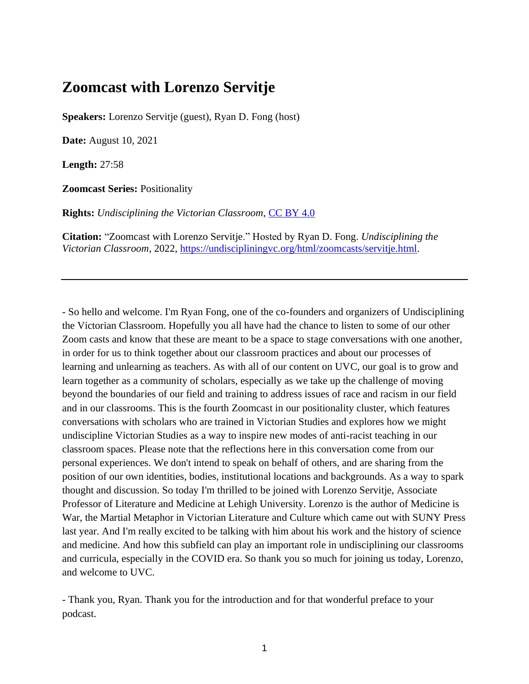## **Zoomcast with Lorenzo Servitje**

**Speakers:** Lorenzo Servitje (guest), Ryan D. Fong (host)

**Date:** August 10, 2021

**Length:** 27:58

**Zoomcast Series:** Positionality

**Rights:** *Undisciplining the Victorian Classroom*, [CC BY 4.0](https://creativecommons.org/licenses/by/4.0/)

**Citation:** "Zoomcast with Lorenzo Servitje." Hosted by Ryan D. Fong. *Undisciplining the Victorian Classroom*, 2022, [https://undiscipliningvc.org/html/zoomcasts/servitje.html.](https://undiscipliningvc.org/html/zoomcasts/servitje.html)

- So hello and welcome. I'm Ryan Fong, one of the co-founders and organizers of Undisciplining the Victorian Classroom. Hopefully you all have had the chance to listen to some of our other Zoom casts and know that these are meant to be a space to stage conversations with one another, in order for us to think together about our classroom practices and about our processes of learning and unlearning as teachers. As with all of our content on UVC, our goal is to grow and learn together as a community of scholars, especially as we take up the challenge of moving beyond the boundaries of our field and training to address issues of race and racism in our field and in our classrooms. This is the fourth Zoomcast in our positionality cluster, which features conversations with scholars who are trained in Victorian Studies and explores how we might undiscipline Victorian Studies as a way to inspire new modes of anti-racist teaching in our classroom spaces. Please note that the reflections here in this conversation come from our personal experiences. We don't intend to speak on behalf of others, and are sharing from the position of our own identities, bodies, institutional locations and backgrounds. As a way to spark thought and discussion. So today I'm thrilled to be joined with Lorenzo Servitje, Associate Professor of Literature and Medicine at Lehigh University. Lorenzo is the author of Medicine is War, the Martial Metaphor in Victorian Literature and Culture which came out with SUNY Press last year. And I'm really excited to be talking with him about his work and the history of science and medicine. And how this subfield can play an important role in undisciplining our classrooms and curricula, especially in the COVID era. So thank you so much for joining us today, Lorenzo, and welcome to UVC.

- Thank you, Ryan. Thank you for the introduction and for that wonderful preface to your podcast.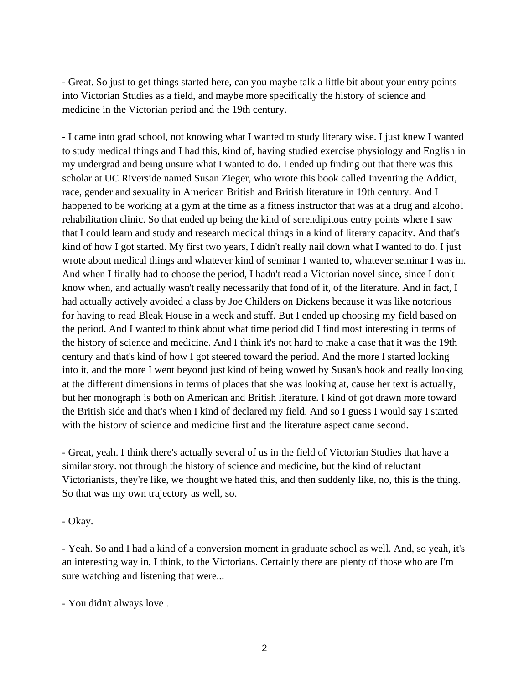- Great. So just to get things started here, can you maybe talk a little bit about your entry points into Victorian Studies as a field, and maybe more specifically the history of science and medicine in the Victorian period and the 19th century.

- I came into grad school, not knowing what I wanted to study literary wise. I just knew I wanted to study medical things and I had this, kind of, having studied exercise physiology and English in my undergrad and being unsure what I wanted to do. I ended up finding out that there was this scholar at UC Riverside named Susan Zieger, who wrote this book called Inventing the Addict, race, gender and sexuality in American British and British literature in 19th century. And I happened to be working at a gym at the time as a fitness instructor that was at a drug and alcohol rehabilitation clinic. So that ended up being the kind of serendipitous entry points where I saw that I could learn and study and research medical things in a kind of literary capacity. And that's kind of how I got started. My first two years, I didn't really nail down what I wanted to do. I just wrote about medical things and whatever kind of seminar I wanted to, whatever seminar I was in. And when I finally had to choose the period, I hadn't read a Victorian novel since, since I don't know when, and actually wasn't really necessarily that fond of it, of the literature. And in fact, I had actually actively avoided a class by Joe Childers on Dickens because it was like notorious for having to read Bleak House in a week and stuff. But I ended up choosing my field based on the period. And I wanted to think about what time period did I find most interesting in terms of the history of science and medicine. And I think it's not hard to make a case that it was the 19th century and that's kind of how I got steered toward the period. And the more I started looking into it, and the more I went beyond just kind of being wowed by Susan's book and really looking at the different dimensions in terms of places that she was looking at, cause her text is actually, but her monograph is both on American and British literature. I kind of got drawn more toward the British side and that's when I kind of declared my field. And so I guess I would say I started with the history of science and medicine first and the literature aspect came second.

- Great, yeah. I think there's actually several of us in the field of Victorian Studies that have a similar story. not through the history of science and medicine, but the kind of reluctant Victorianists, they're like, we thought we hated this, and then suddenly like, no, this is the thing. So that was my own trajectory as well, so.

- Okay.

- Yeah. So and I had a kind of a conversion moment in graduate school as well. And, so yeah, it's an interesting way in, I think, to the Victorians. Certainly there are plenty of those who are I'm sure watching and listening that were...

- You didn't always love .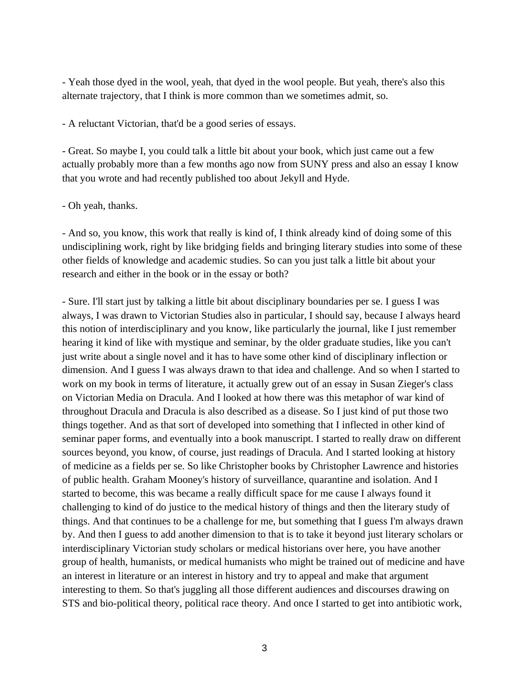- Yeah those dyed in the wool, yeah, that dyed in the wool people. But yeah, there's also this alternate trajectory, that I think is more common than we sometimes admit, so.

- A reluctant Victorian, that'd be a good series of essays.

- Great. So maybe I, you could talk a little bit about your book, which just came out a few actually probably more than a few months ago now from SUNY press and also an essay I know that you wrote and had recently published too about Jekyll and Hyde.

## - Oh yeah, thanks.

- And so, you know, this work that really is kind of, I think already kind of doing some of this undisciplining work, right by like bridging fields and bringing literary studies into some of these other fields of knowledge and academic studies. So can you just talk a little bit about your research and either in the book or in the essay or both?

- Sure. I'll start just by talking a little bit about disciplinary boundaries per se. I guess I was always, I was drawn to Victorian Studies also in particular, I should say, because I always heard this notion of interdisciplinary and you know, like particularly the journal, like I just remember hearing it kind of like with mystique and seminar, by the older graduate studies, like you can't just write about a single novel and it has to have some other kind of disciplinary inflection or dimension. And I guess I was always drawn to that idea and challenge. And so when I started to work on my book in terms of literature, it actually grew out of an essay in Susan Zieger's class on Victorian Media on Dracula. And I looked at how there was this metaphor of war kind of throughout Dracula and Dracula is also described as a disease. So I just kind of put those two things together. And as that sort of developed into something that I inflected in other kind of seminar paper forms, and eventually into a book manuscript. I started to really draw on different sources beyond, you know, of course, just readings of Dracula. And I started looking at history of medicine as a fields per se. So like Christopher books by Christopher Lawrence and histories of public health. Graham Mooney's history of surveillance, quarantine and isolation. And I started to become, this was became a really difficult space for me cause I always found it challenging to kind of do justice to the medical history of things and then the literary study of things. And that continues to be a challenge for me, but something that I guess I'm always drawn by. And then I guess to add another dimension to that is to take it beyond just literary scholars or interdisciplinary Victorian study scholars or medical historians over here, you have another group of health, humanists, or medical humanists who might be trained out of medicine and have an interest in literature or an interest in history and try to appeal and make that argument interesting to them. So that's juggling all those different audiences and discourses drawing on STS and bio-political theory, political race theory. And once I started to get into antibiotic work,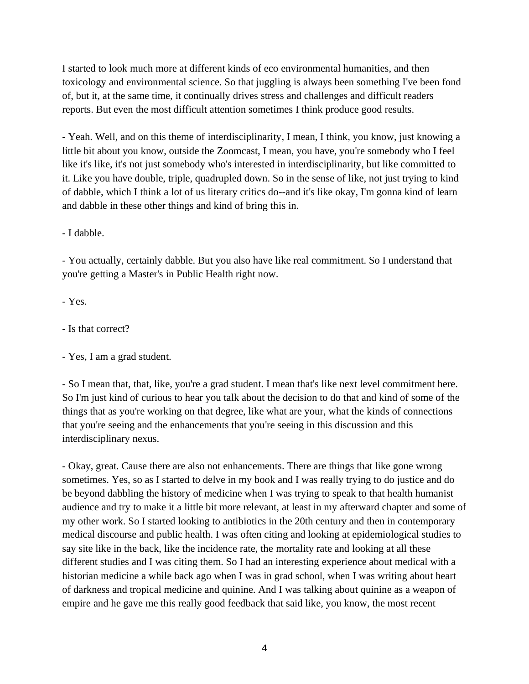I started to look much more at different kinds of eco environmental humanities, and then toxicology and environmental science. So that juggling is always been something I've been fond of, but it, at the same time, it continually drives stress and challenges and difficult readers reports. But even the most difficult attention sometimes I think produce good results.

- Yeah. Well, and on this theme of interdisciplinarity, I mean, I think, you know, just knowing a little bit about you know, outside the Zoomcast, I mean, you have, you're somebody who I feel like it's like, it's not just somebody who's interested in interdisciplinarity, but like committed to it. Like you have double, triple, quadrupled down. So in the sense of like, not just trying to kind of dabble, which I think a lot of us literary critics do--and it's like okay, I'm gonna kind of learn and dabble in these other things and kind of bring this in.

- I dabble.

- You actually, certainly dabble. But you also have like real commitment. So I understand that you're getting a Master's in Public Health right now.

- Yes.

- Is that correct?

- Yes, I am a grad student.

- So I mean that, that, like, you're a grad student. I mean that's like next level commitment here. So I'm just kind of curious to hear you talk about the decision to do that and kind of some of the things that as you're working on that degree, like what are your, what the kinds of connections that you're seeing and the enhancements that you're seeing in this discussion and this interdisciplinary nexus.

- Okay, great. Cause there are also not enhancements. There are things that like gone wrong sometimes. Yes, so as I started to delve in my book and I was really trying to do justice and do be beyond dabbling the history of medicine when I was trying to speak to that health humanist audience and try to make it a little bit more relevant, at least in my afterward chapter and some of my other work. So I started looking to antibiotics in the 20th century and then in contemporary medical discourse and public health. I was often citing and looking at epidemiological studies to say site like in the back, like the incidence rate, the mortality rate and looking at all these different studies and I was citing them. So I had an interesting experience about medical with a historian medicine a while back ago when I was in grad school, when I was writing about heart of darkness and tropical medicine and quinine. And I was talking about quinine as a weapon of empire and he gave me this really good feedback that said like, you know, the most recent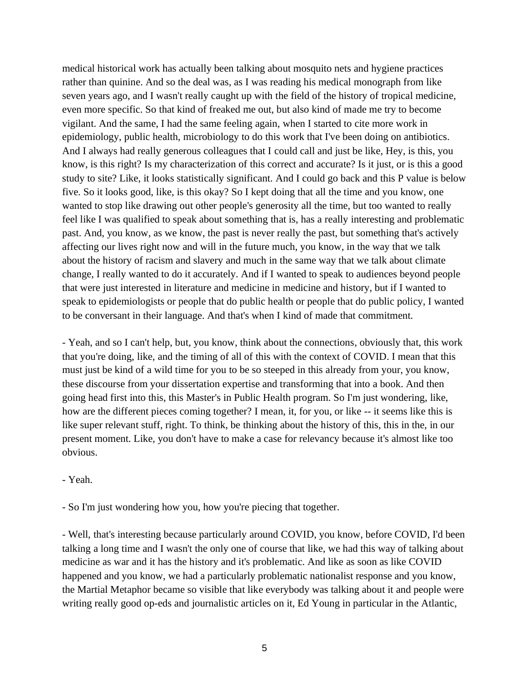medical historical work has actually been talking about mosquito nets and hygiene practices rather than quinine. And so the deal was, as I was reading his medical monograph from like seven years ago, and I wasn't really caught up with the field of the history of tropical medicine, even more specific. So that kind of freaked me out, but also kind of made me try to become vigilant. And the same, I had the same feeling again, when I started to cite more work in epidemiology, public health, microbiology to do this work that I've been doing on antibiotics. And I always had really generous colleagues that I could call and just be like, Hey, is this, you know, is this right? Is my characterization of this correct and accurate? Is it just, or is this a good study to site? Like, it looks statistically significant. And I could go back and this P value is below five. So it looks good, like, is this okay? So I kept doing that all the time and you know, one wanted to stop like drawing out other people's generosity all the time, but too wanted to really feel like I was qualified to speak about something that is, has a really interesting and problematic past. And, you know, as we know, the past is never really the past, but something that's actively affecting our lives right now and will in the future much, you know, in the way that we talk about the history of racism and slavery and much in the same way that we talk about climate change, I really wanted to do it accurately. And if I wanted to speak to audiences beyond people that were just interested in literature and medicine in medicine and history, but if I wanted to speak to epidemiologists or people that do public health or people that do public policy, I wanted to be conversant in their language. And that's when I kind of made that commitment.

- Yeah, and so I can't help, but, you know, think about the connections, obviously that, this work that you're doing, like, and the timing of all of this with the context of COVID. I mean that this must just be kind of a wild time for you to be so steeped in this already from your, you know, these discourse from your dissertation expertise and transforming that into a book. And then going head first into this, this Master's in Public Health program. So I'm just wondering, like, how are the different pieces coming together? I mean, it, for you, or like -- it seems like this is like super relevant stuff, right. To think, be thinking about the history of this, this in the, in our present moment. Like, you don't have to make a case for relevancy because it's almost like too obvious.

- Yeah.

- So I'm just wondering how you, how you're piecing that together.

- Well, that's interesting because particularly around COVID, you know, before COVID, I'd been talking a long time and I wasn't the only one of course that like, we had this way of talking about medicine as war and it has the history and it's problematic. And like as soon as like COVID happened and you know, we had a particularly problematic nationalist response and you know, the Martial Metaphor became so visible that like everybody was talking about it and people were writing really good op-eds and journalistic articles on it, Ed Young in particular in the Atlantic,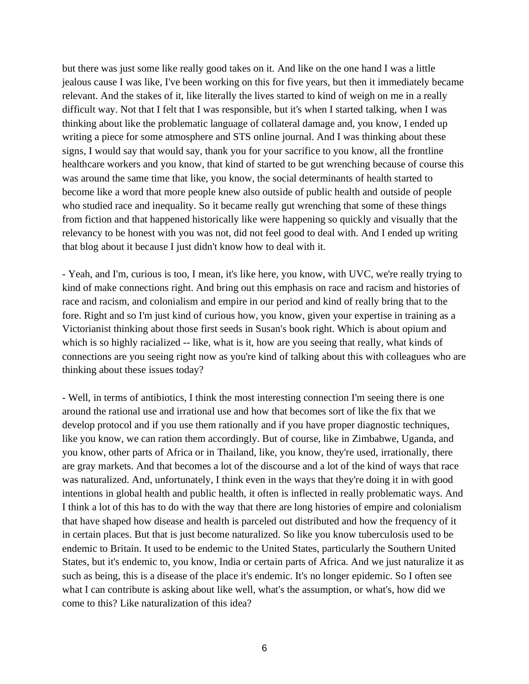but there was just some like really good takes on it. And like on the one hand I was a little jealous cause I was like, I've been working on this for five years, but then it immediately became relevant. And the stakes of it, like literally the lives started to kind of weigh on me in a really difficult way. Not that I felt that I was responsible, but it's when I started talking, when I was thinking about like the problematic language of collateral damage and, you know, I ended up writing a piece for some atmosphere and STS online journal. And I was thinking about these signs, I would say that would say, thank you for your sacrifice to you know, all the frontline healthcare workers and you know, that kind of started to be gut wrenching because of course this was around the same time that like, you know, the social determinants of health started to become like a word that more people knew also outside of public health and outside of people who studied race and inequality. So it became really gut wrenching that some of these things from fiction and that happened historically like were happening so quickly and visually that the relevancy to be honest with you was not, did not feel good to deal with. And I ended up writing that blog about it because I just didn't know how to deal with it.

- Yeah, and I'm, curious is too, I mean, it's like here, you know, with UVC, we're really trying to kind of make connections right. And bring out this emphasis on race and racism and histories of race and racism, and colonialism and empire in our period and kind of really bring that to the fore. Right and so I'm just kind of curious how, you know, given your expertise in training as a Victorianist thinking about those first seeds in Susan's book right. Which is about opium and which is so highly racialized -- like, what is it, how are you seeing that really, what kinds of connections are you seeing right now as you're kind of talking about this with colleagues who are thinking about these issues today?

- Well, in terms of antibiotics, I think the most interesting connection I'm seeing there is one around the rational use and irrational use and how that becomes sort of like the fix that we develop protocol and if you use them rationally and if you have proper diagnostic techniques, like you know, we can ration them accordingly. But of course, like in Zimbabwe, Uganda, and you know, other parts of Africa or in Thailand, like, you know, they're used, irrationally, there are gray markets. And that becomes a lot of the discourse and a lot of the kind of ways that race was naturalized. And, unfortunately, I think even in the ways that they're doing it in with good intentions in global health and public health, it often is inflected in really problematic ways. And I think a lot of this has to do with the way that there are long histories of empire and colonialism that have shaped how disease and health is parceled out distributed and how the frequency of it in certain places. But that is just become naturalized. So like you know tuberculosis used to be endemic to Britain. It used to be endemic to the United States, particularly the Southern United States, but it's endemic to, you know, India or certain parts of Africa. And we just naturalize it as such as being, this is a disease of the place it's endemic. It's no longer epidemic. So I often see what I can contribute is asking about like well, what's the assumption, or what's, how did we come to this? Like naturalization of this idea?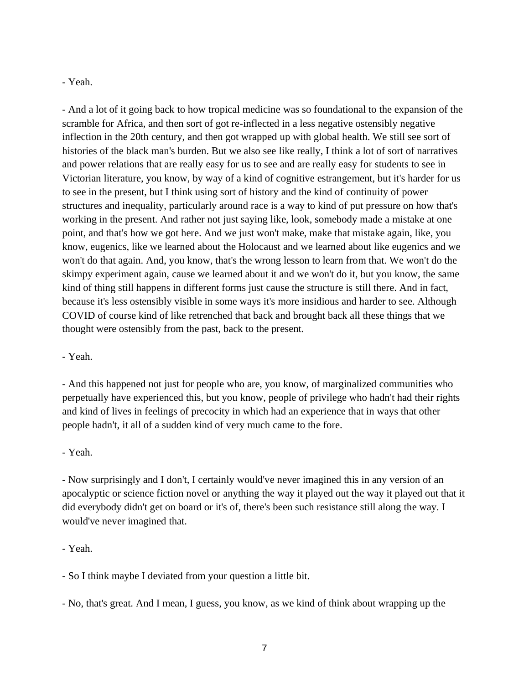- Yeah.

- And a lot of it going back to how tropical medicine was so foundational to the expansion of the scramble for Africa, and then sort of got re-inflected in a less negative ostensibly negative inflection in the 20th century, and then got wrapped up with global health. We still see sort of histories of the black man's burden. But we also see like really, I think a lot of sort of narratives and power relations that are really easy for us to see and are really easy for students to see in Victorian literature, you know, by way of a kind of cognitive estrangement, but it's harder for us to see in the present, but I think using sort of history and the kind of continuity of power structures and inequality, particularly around race is a way to kind of put pressure on how that's working in the present. And rather not just saying like, look, somebody made a mistake at one point, and that's how we got here. And we just won't make, make that mistake again, like, you know, eugenics, like we learned about the Holocaust and we learned about like eugenics and we won't do that again. And, you know, that's the wrong lesson to learn from that. We won't do the skimpy experiment again, cause we learned about it and we won't do it, but you know, the same kind of thing still happens in different forms just cause the structure is still there. And in fact, because it's less ostensibly visible in some ways it's more insidious and harder to see. Although COVID of course kind of like retrenched that back and brought back all these things that we thought were ostensibly from the past, back to the present.

- Yeah.

- And this happened not just for people who are, you know, of marginalized communities who perpetually have experienced this, but you know, people of privilege who hadn't had their rights and kind of lives in feelings of precocity in which had an experience that in ways that other people hadn't, it all of a sudden kind of very much came to the fore.

- Yeah.

- Now surprisingly and I don't, I certainly would've never imagined this in any version of an apocalyptic or science fiction novel or anything the way it played out the way it played out that it did everybody didn't get on board or it's of, there's been such resistance still along the way. I would've never imagined that.

- Yeah.

- So I think maybe I deviated from your question a little bit.

- No, that's great. And I mean, I guess, you know, as we kind of think about wrapping up the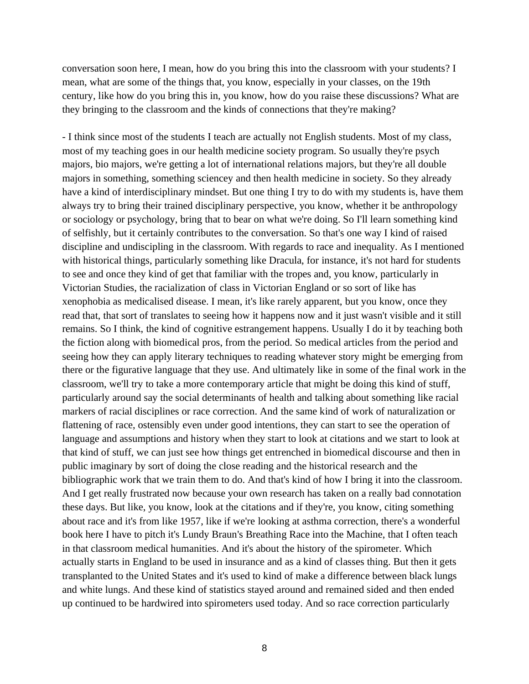conversation soon here, I mean, how do you bring this into the classroom with your students? I mean, what are some of the things that, you know, especially in your classes, on the 19th century, like how do you bring this in, you know, how do you raise these discussions? What are they bringing to the classroom and the kinds of connections that they're making?

- I think since most of the students I teach are actually not English students. Most of my class, most of my teaching goes in our health medicine society program. So usually they're psych majors, bio majors, we're getting a lot of international relations majors, but they're all double majors in something, something sciencey and then health medicine in society. So they already have a kind of interdisciplinary mindset. But one thing I try to do with my students is, have them always try to bring their trained disciplinary perspective, you know, whether it be anthropology or sociology or psychology, bring that to bear on what we're doing. So I'll learn something kind of selfishly, but it certainly contributes to the conversation. So that's one way I kind of raised discipline and undiscipling in the classroom. With regards to race and inequality. As I mentioned with historical things, particularly something like Dracula, for instance, it's not hard for students to see and once they kind of get that familiar with the tropes and, you know, particularly in Victorian Studies, the racialization of class in Victorian England or so sort of like has xenophobia as medicalised disease. I mean, it's like rarely apparent, but you know, once they read that, that sort of translates to seeing how it happens now and it just wasn't visible and it still remains. So I think, the kind of cognitive estrangement happens. Usually I do it by teaching both the fiction along with biomedical pros, from the period. So medical articles from the period and seeing how they can apply literary techniques to reading whatever story might be emerging from there or the figurative language that they use. And ultimately like in some of the final work in the classroom, we'll try to take a more contemporary article that might be doing this kind of stuff, particularly around say the social determinants of health and talking about something like racial markers of racial disciplines or race correction. And the same kind of work of naturalization or flattening of race, ostensibly even under good intentions, they can start to see the operation of language and assumptions and history when they start to look at citations and we start to look at that kind of stuff, we can just see how things get entrenched in biomedical discourse and then in public imaginary by sort of doing the close reading and the historical research and the bibliographic work that we train them to do. And that's kind of how I bring it into the classroom. And I get really frustrated now because your own research has taken on a really bad connotation these days. But like, you know, look at the citations and if they're, you know, citing something about race and it's from like 1957, like if we're looking at asthma correction, there's a wonderful book here I have to pitch it's Lundy Braun's Breathing Race into the Machine, that I often teach in that classroom medical humanities. And it's about the history of the spirometer. Which actually starts in England to be used in insurance and as a kind of classes thing. But then it gets transplanted to the United States and it's used to kind of make a difference between black lungs and white lungs. And these kind of statistics stayed around and remained sided and then ended up continued to be hardwired into spirometers used today. And so race correction particularly